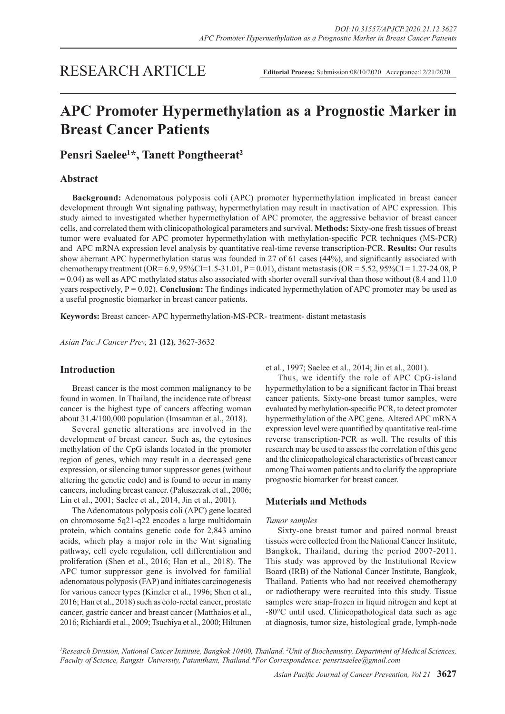## RESEARCH ARTICLE

**Editorial Process:** Submission:08/10/2020 Acceptance:12/21/2020

# **APC Promoter Hypermethylation as a Prognostic Marker in Breast Cancer Patients**

**Pensri Saelee1 \*, Tanett Pongtheerat2**

## **Abstract**

**Background:** Adenomatous polyposis coli (APC) promoter hypermethylation implicated in breast cancer development through Wnt signaling pathway, hypermethylation may result in inactivation of APC expression. This study aimed to investigated whether hypermethylation of APC promoter, the aggressive behavior of breast cancer cells, and correlated them with clinicopathological parameters and survival. **Methods:** Sixty-one fresh tissues of breast tumor were evaluated for APC promoter hypermethylation with methylation-specific PCR techniques (MS-PCR) and APC mRNA expression level analysis by quantitative real-time reverse transcription-PCR. **Results:** Our results show aberrant APC hypermethylation status was founded in 27 of 61 cases (44%), and significantly associated with chemotherapy treatment (OR=  $6.9, 95\%$ CI=1.5-31.01, P = 0.01), distant metastasis (OR =  $5.52, 95\%$ CI = 1.27-24.08, P  $= 0.04$ ) as well as APC methylated status also associated with shorter overall survival than those without (8.4 and 11.0) years respectively,  $P = 0.02$ ). **Conclusion:** The findings indicated hypermethylation of APC promoter may be used as a useful prognostic biomarker in breast cancer patients.

**Keywords:** Breast cancer- APC hypermethylation-MS-PCR- treatment- distant metastasis

*Asian Pac J Cancer Prev,* **21 (12)**, 3627-3632

## **Introduction**

Breast cancer is the most common malignancy to be found in women. In Thailand, the incidence rate of breast cancer is the highest type of cancers affecting woman about 31.4/100,000 population (Imsamran et al., 2018).

Several genetic alterations are involved in the development of breast cancer. Such as, the cytosines methylation of the CpG islands located in the promoter region of genes, which may result in a decreased gene expression, or silencing tumor suppressor genes (without altering the genetic code) and is found to occur in many cancers, including breast cancer. (Paluszczak et al., 2006; Lin et al., 2001; Saelee et al., 2014, Jin et al., 2001).

The Adenomatous polyposis coli (APC) gene located on chromosome 5q21-q22 encodes a large multidomain protein, which contains genetic code for 2,843 amino acids, which play a major role in the Wnt signaling pathway, cell cycle regulation, cell differentiation and proliferation (Shen et al., 2016; Han et al., 2018). The APC tumor suppressor gene is involved for familial adenomatous polyposis (FAP) and initiates carcinogenesis for various cancer types (Kinzler et al., 1996; Shen et al., 2016; Han et al., 2018) such as colo-rectal cancer, prostate cancer, gastric cancer and breast cancer (Matthaios et al., 2016; Richiardi et al., 2009; Tsuchiya et al., 2000; Hiltunen et al., 1997; Saelee et al., 2014; Jin et al., 2001).

Thus, we identify the role of APC CpG-island hypermethylation to be a significant factor in Thai breast cancer patients. Sixty-one breast tumor samples, were evaluated by methylation-specific PCR, to detect promoter hypermethylation of the APC gene. Altered APC mRNA expression level were quantified by quantitative real-time reverse transcription-PCR as well. The results of this research may be used to assess the correlation of this gene and the clinicopathological characteristics of breast cancer among Thai women patients and to clarify the appropriate prognostic biomarker for breast cancer.

## **Materials and Methods**

## *Tumor samples*

Sixty-one breast tumor and paired normal breast tissues were collected from the National Cancer Institute, Bangkok, Thailand, during the period 2007-2011. This study was approved by the Institutional Review Board (IRB) of the National Cancer Institute, Bangkok, Thailand. Patients who had not received chemotherapy or radiotherapy were recruited into this study. Tissue samples were snap-frozen in liquid nitrogen and kept at -80°C until used. Clinicopathological data such as age at diagnosis, tumor size, histological grade, lymph-node

*1 Research Division, National Cancer Institute, Bangkok 10400, Thailand. 2 Unit of Biochemistry, Department of Medical Sciences, Faculty of Science, Rangsit University, Patumthani, Thailand.\*For Correspondence: pensrisaelee@gmail.com*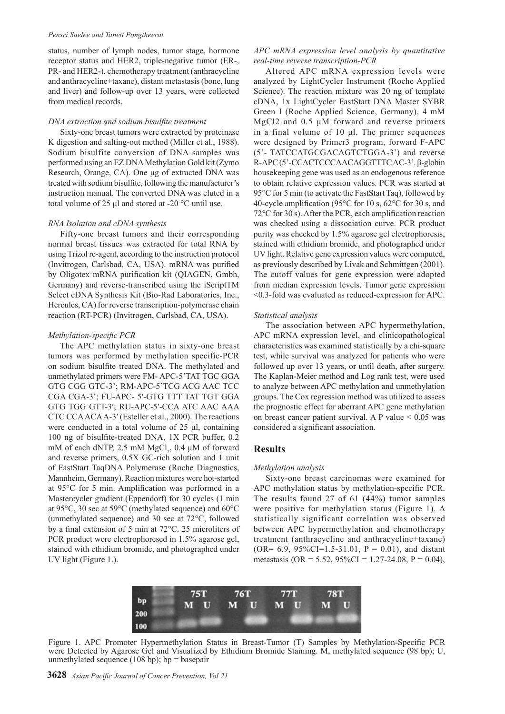#### *Pensri Saelee and Tanett Pongtheerat*

status, number of lymph nodes, tumor stage, hormone receptor status and HER2, triple-negative tumor (ER-, PR- and HER2-), chemotherapy treatment (anthracycline and anthracycline+taxane), distant metastasis (bone, lung and liver) and follow-up over 13 years, were collected from medical records.

#### *DNA extraction and sodium bisulfite treatment*

Sixty-one breast tumors were extracted by proteinase K digestion and salting-out method (Miller et al., 1988). Sodium bisulfite conversion of DNA samples was performed using an EZ DNA Methylation Gold kit (Zymo Research, Orange, CA). One μg of extracted DNA was treated with sodium bisulfite, following the manufacturer's instruction manual. The converted DNA was eluted in a total volume of 25 μl and stored at -20 °C until use.

#### *RNA Isolation and cDNA synthesis*

Fifty-one breast tumors and their corresponding normal breast tissues was extracted for total RNA by using Trizol re-agent, according to the instruction protocol (Invitrogen, Carlsbad, CA, USA). mRNA was purified by Oligotex mRNA purification kit (QIAGEN, Gmbh, Germany) and reverse-transcribed using the iScriptTM Select cDNA Synthesis Kit (Bio-Rad Laboratories, Inc., Hercules, CA) for reverse transcription-polymerase chain reaction (RT-PCR) (Invitrogen, Carlsbad, CA, USA).

#### *Methylation-specific PCR*

The APC methylation status in sixty-one breast tumors was performed by methylation specific-PCR on sodium bisulfite treated DNA. The methylated and unmethylated primers were FM- APC-5'TAT TGC GGA GTG CGG GTC-3'; RM-APC-5'TCG ACG AAC TCC CGA CGA-3'; FU-APC- 5′-GTG TTT TAT TGT GGA GTG TGG GTT-3′; RU-APC-5′-CCA ATC AAC AAA CTC CCA ACA A-3′ (Esteller et al., 2000). The reactions were conducted in a total volume of 25 μl, containing 100 ng of bisulfite-treated DNA, 1X PCR buffer, 0.2 mM of each dNTP, 2.5 mM  $MgCl_2$ , 0.4  $\mu$ M of forward and reverse primers, 0.5X GC-rich solution and 1 unit of FastStart TaqDNA Polymerase (Roche Diagnostics, Mannheim, Germany). Reaction mixtures were hot-started at 95°C for 5 min. Amplification was performed in a Mastercycler gradient (Eppendorf) for 30 cycles (1 min at 95°C, 30 sec at 59°C (methylated sequence) and 60°C (unmethylated sequence) and 30 sec at 72°C, followed by a final extension of 5 min at 72°C. 25 microliters of PCR product were electrophoresed in 1.5% agarose gel, stained with ethidium bromide, and photographed under UV light (Figure 1.).

## *APC mRNA expression level analysis by quantitative real-time reverse transcription-PCR*

Altered APC mRNA expression levels were analyzed by LightCycler Instrument (Roche Applied Science). The reaction mixture was 20 ng of template cDNA, 1x LightCycler FastStart DNA Master SYBR Green I (Roche Applied Science, Germany), 4 mM MgCl2 and 0.5 μM forward and reverse primers in a final volume of 10 μl. The primer sequences were designed by Primer3 program, forward F-APC (5'- TATCCATGCGACAGTCTGGA-3') and reverse R-APC (5'-CCACTCCCAACAGGTTTC AC-3'. β-globin housekeeping gene was used as an endogenous reference to obtain relative expression values. PCR was started at 95°C for 5 min (to activate the FastStart Taq), followed by 40-cycle amplification (95°C for 10 s, 62°C for 30 s, and 72°C for 30 s). After the PCR, each amplification reaction was checked using a dissociation curve. PCR product purity was checked by 1.5% agarose gel electrophoresis, stained with ethidium bromide, and photographed under UV light. Relative gene expression values were computed, as previously described by Livak and Schmittgen (2001). The cutoff values for gene expression were adopted from median expression levels. Tumor gene expression <0.3-fold was evaluated as reduced-expression for APC.

#### *Statistical analysis*

The association between APC hypermethylation, APC mRNA expression level, and clinicopathological characteristics was examined statistically by a chi-square test, while survival was analyzed for patients who were followed up over 13 years, or until death, after surgery. The Kaplan-Meier method and Log rank test, were used to analyze between APC methylation and unmethylation groups. The Cox regression method was utilized to assess the prognostic effect for aberrant APC gene methylation on breast cancer patient survival. A P value  $< 0.05$  was considered a significant association.

## **Results**

#### *Methylation analysis*

Sixty-one breast carcinomas were examined for APC methylation status by methylation-specific PCR. The results found 27 of 61 (44%) tumor samples were positive for methylation status (Figure 1). A statistically significant correlation was observed between APC hypermethylation and chemotherapy treatment (anthracycline and anthracycline+taxane)  $(OR = 6.9, 95\% CI = 1.5 - 31.01, P = 0.01)$ , and distant metastasis (OR = 5.52,  $95\%CI = 1.27-24.08$ , P = 0.04),



Figure 1. APC Promoter Hypermethylation Status in Breast-Tumor (T) Samples by Methylation-Specific PCR were Detected by Agarose Gel and Visualized by Ethidium Bromide Staining. M, methylated sequence (98 bp); U, unmethylated sequence (108 bp); bp = basepair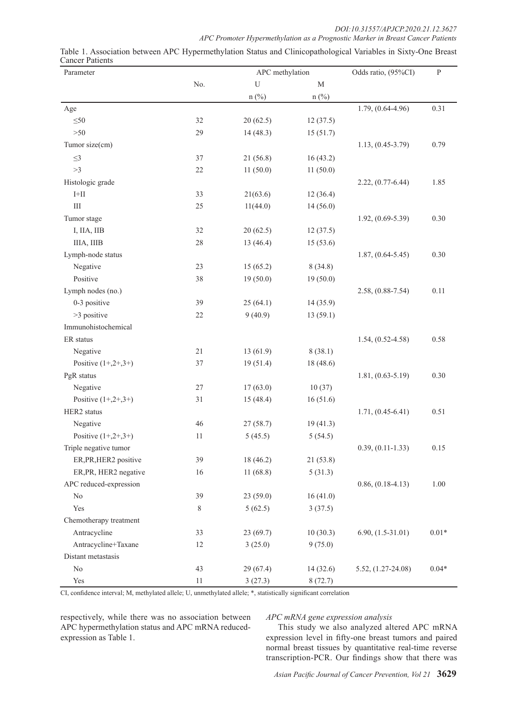*DOI:10.31557/APJCP.2020.21.12.3627*

|                                                                                                  | APC Promoter Hypermethylation as a Prognostic Marker in Breast Cancer Patients |  |  |  |  |
|--------------------------------------------------------------------------------------------------|--------------------------------------------------------------------------------|--|--|--|--|
| iation between APC Hypermethylation Status and Cliniconathological Variables in Sixty-One Breast |                                                                                |  |  |  |  |

| Parameter              |        | APC methylation |             | Odds ratio, (95%CI)   | ${\bf P}$ |
|------------------------|--------|-----------------|-------------|-----------------------|-----------|
|                        | No.    | U               | $\mathbf M$ |                       |           |
|                        |        | $n$ (%)         | $n$ (%)     |                       |           |
| Age                    |        |                 |             | $1.79, (0.64 - 4.96)$ | 0.31      |
| $\leq 50$              | 32     | 20(62.5)        | 12(37.5)    |                       |           |
| $>50$                  | 29     | 14(48.3)        | 15(51.7)    |                       |           |
| Tumor size(cm)         |        |                 |             | $1.13, (0.45 - 3.79)$ | 0.79      |
| $\leq$ 3               | $37\,$ | 21(56.8)        | 16(43.2)    |                       |           |
| >3                     | $22\,$ | 11(50.0)        | 11(50.0)    |                       |           |
| Histologic grade       |        |                 |             | $2.22, (0.77-6.44)$   | 1.85      |
| $\mbox{I+II}$          | 33     | 21(63.6)        | 12(36.4)    |                       |           |
| Ш                      | 25     | 11(44.0)        | 14(56.0)    |                       |           |
| Tumor stage            |        |                 |             | $1.92, (0.69 - 5.39)$ | 0.30      |
| I, IIA, IIB            | $32\,$ | 20(62.5)        | 12(37.5)    |                       |           |
| IIIA, IIIB             | $28\,$ | 13 (46.4)       | 15(53.6)    |                       |           |
| Lymph-node status      |        |                 |             | $1.87, (0.64 - 5.45)$ | 0.30      |
| Negative               | 23     | 15(65.2)        | 8(34.8)     |                       |           |
| Positive               | 38     | 19(50.0)        | 19(50.0)    |                       |           |
| Lymph nodes (no.)      |        |                 |             | $2.58, (0.88 - 7.54)$ | 0.11      |
| 0-3 positive           | 39     | 25(64.1)        | 14(35.9)    |                       |           |
| >3 positive            | $22\,$ | 9(40.9)         | 13(59.1)    |                       |           |
| Immunohistochemical    |        |                 |             |                       |           |
| ER status              |        |                 |             | $1.54, (0.52 - 4.58)$ | 0.58      |
| Negative               | 21     | 13(61.9)        | 8(38.1)     |                       |           |
| Positive $(1+,2+,3+)$  | 37     | 19(51.4)        | 18 (48.6)   |                       |           |
| PgR status             |        |                 |             | $1.81, (0.63 - 5.19)$ | 0.30      |
| Negative               | $27\,$ | 17(63.0)        | 10(37)      |                       |           |
| Positive $(1+,2+,3+)$  | 31     | 15(48.4)        | 16(51.6)    |                       |           |
| HER2 status            |        |                 |             | $1.71, (0.45-6.41)$   | 0.51      |
| Negative               | 46     | 27(58.7)        | 19(41.3)    |                       |           |
| Positive $(1+,2+,3+)$  | 11     | 5(45.5)         | 5(54.5)     |                       |           |
| Triple negative tumor  |        |                 |             | $0.39, (0.11 - 1.33)$ | 0.15      |
| ER, PR, HER2 positive  | 39     | 18 (46.2)       | 21(53.8)    |                       |           |
| ER, PR, HER2 negative  | 16     | 11(68.8)        | 5(31.3)     |                       |           |
| APC reduced-expression |        |                 |             | $0.86, (0.18-4.13)$   | 1.00      |
| $\rm No$               | 39     | 23(59.0)        | 16(41.0)    |                       |           |
| Yes                    | 8      | 5(62.5)         | 3(37.5)     |                       |           |
| Chemotherapy treatment |        |                 |             |                       |           |
| Antracycline           | 33     | 23(69.7)        | 10(30.3)    | $6.90, (1.5-31.01)$   | $0.01*$   |
| Antracycline+Taxane    | 12     | 3(25.0)         | 9(75.0)     |                       |           |
| Distant metastasis     |        |                 |             |                       |           |
| $\rm No$               | 43     | 29(67.4)        | 14(32.6)    | 5.52, (1.27-24.08)    | $0.04*$   |
| Yes                    | 11     | 3(27.3)         | 8(72.7)     |                       |           |

| Table 1. Association between APC Hypermethylation Status and Clinicopathological Variables in Sixty-One Breast |  |  |  |  |
|----------------------------------------------------------------------------------------------------------------|--|--|--|--|
| <b>Cancer Patients</b>                                                                                         |  |  |  |  |

CI, confidence interval; M, methylated allele; U, unmethylated allele; \*, statistically significant correlation

respectively, while there was no association between APC hypermethylation status and APC mRNA reducedexpression as Table 1.

*APC mRNA gene expression analysis*

This study we also analyzed altered APC mRNA expression level in fifty-one breast tumors and paired normal breast tissues by quantitative real-time reverse transcription-PCR. Our findings show that there was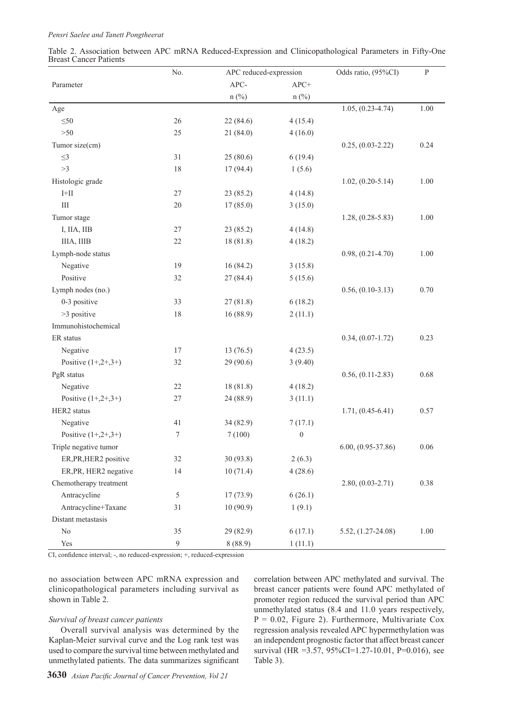| Table 2. Association between APC mRNA Reduced-Expression and Clinicopathological Parameters in Fifty-One |  |  |  |  |
|----------------------------------------------------------------------------------------------------------|--|--|--|--|
| <b>Breast Cancer Patients</b>                                                                            |  |  |  |  |

|                        | No.<br>APC reduced-expression |           | Odds ratio, (95%CI) | ${\bf P}$             |      |
|------------------------|-------------------------------|-----------|---------------------|-----------------------|------|
| Parameter              |                               | APC-      | $APC+$              |                       |      |
|                        |                               | $n$ (%)   | $n$ (%)             |                       |      |
| Age                    |                               |           |                     | $1.05, (0.23 - 4.74)$ | 1.00 |
| $\leq 50$              | 26                            | 22 (84.6) | 4(15.4)             |                       |      |
| >50                    | 25                            | 21(84.0)  | 4(16.0)             |                       |      |
| Tumor size(cm)         |                               |           |                     | $0.25, (0.03-2.22)$   | 0.24 |
| $\leq$ 3               | 31                            | 25(80.6)  | 6(19.4)             |                       |      |
| >3                     | 18                            | 17(94.4)  | 1(5.6)              |                       |      |
| Histologic grade       |                               |           |                     | $1.02, (0.20 - 5.14)$ | 1.00 |
| $\mbox{I+II}$          | $27\,$                        | 23 (85.2) | 4(14.8)             |                       |      |
| $\rm III$              | 20                            | 17(85.0)  | 3(15.0)             |                       |      |
| Tumor stage            |                               |           |                     | $1.28, (0.28 - 5.83)$ | 1.00 |
| I, IIA, IIB            | $27\,$                        | 23(85.2)  | 4(14.8)             |                       |      |
| IIIA, IIIB             | $22\,$                        | 18(81.8)  | 4(18.2)             |                       |      |
| Lymph-node status      |                               |           |                     | $0.98, (0.21 - 4.70)$ | 1.00 |
| Negative               | 19                            | 16(84.2)  | 3(15.8)             |                       |      |
| Positive               | 32                            | 27(84.4)  | 5(15.6)             |                       |      |
| Lymph nodes (no.)      |                               |           |                     | $0.56, (0.10-3.13)$   | 0.70 |
| 0-3 positive           | 33                            | 27(81.8)  | 6(18.2)             |                       |      |
| >3 positive            | 18                            | 16(88.9)  | 2(11.1)             |                       |      |
| Immunohistochemical    |                               |           |                     |                       |      |
| ER status              |                               |           |                     | $0.34, (0.07 - 1.72)$ | 0.23 |
| Negative               | 17                            | 13(76.5)  | 4(23.5)             |                       |      |
| Positive $(1+,2+,3+)$  | 32                            | 29 (90.6) | 3(9.40)             |                       |      |
| PgR status             |                               |           |                     | $0.56, (0.11-2.83)$   | 0.68 |
| Negative               | 22                            | 18 (81.8) | 4(18.2)             |                       |      |
| Positive $(1+,2+,3+)$  | $27\,$                        | 24 (88.9) | 3(11.1)             |                       |      |
| HER2 status            |                               |           |                     | $1.71, (0.45-6.41)$   | 0.57 |
| Negative               | 41                            | 34 (82.9) | 7(17.1)             |                       |      |
| Positive $(1+,2+,3+)$  | $\boldsymbol{7}$              | 7(100)    | $\boldsymbol{0}$    |                       |      |
| Triple negative tumor  |                               |           |                     | $6.00, (0.95-37.86)$  | 0.06 |
| ER, PR, HER2 positive  | 32                            | 30(93.8)  | 2(6.3)              |                       |      |
| ER, PR, HER2 negative  | 14                            | 10(71.4)  | 4(28.6)             |                       |      |
| Chemotherapy treatment |                               |           |                     | $2.80, (0.03 - 2.71)$ | 0.38 |
| Antracycline           | $\sqrt{5}$                    | 17(73.9)  | 6(26.1)             |                       |      |
| Antracycline+Taxane    | 31                            | 10(90.9)  | 1(9.1)              |                       |      |
| Distant metastasis     |                               |           |                     |                       |      |
| $\rm No$               | 35                            | 29 (82.9) | 6(17.1)             | 5.52, (1.27-24.08)    | 1.00 |
| Yes                    | 9                             | 8(88.9)   | 1(11.1)             |                       |      |

CI, confidence interval; -, no reduced-expression; +, reduced-expression

no association between APC mRNA expression and clinicopathological parameters including survival as shown in Table 2.

#### *Survival of breast cancer patients*

Overall survival analysis was determined by the Kaplan-Meier survival curve and the Log rank test was used to compare the survival time between methylated and unmethylated patients. The data summarizes significant correlation between APC methylated and survival. The breast cancer patients were found APC methylated of promoter region reduced the survival period than APC unmethylated status (8.4 and 11.0 years respectively,  $P = 0.02$ , Figure 2). Furthermore, Multivariate Cox regression analysis revealed APC hypermethylation was an independent prognostic factor that affect breast cancer survival (HR = 3.57, 95%CI=1.27-10.01, P=0.016), see Table 3).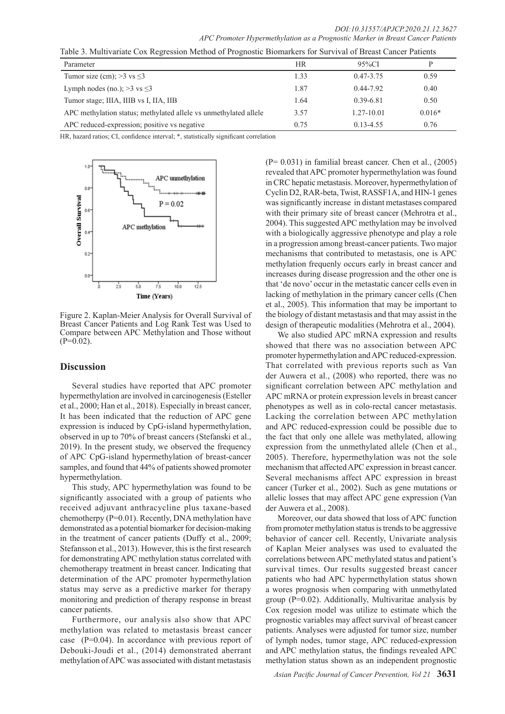*DOI:10.31557/APJCP.2020.21.12.3627 APC Promoter Hypermethylation as a Prognostic Marker in Breast Cancer Patients*

| Table 5. Multivariate COX Regression Method of Froghostic Biomarkets for Survival of Breast Cancel Fatients |      |                |          |  |  |  |  |
|-------------------------------------------------------------------------------------------------------------|------|----------------|----------|--|--|--|--|
| Parameter                                                                                                   | HR   | $95\%CI$       | D        |  |  |  |  |
| Tumor size (cm); $>3$ vs $\leq$ 3                                                                           | 1.33 | $0.47 - 3.75$  | 0.59     |  |  |  |  |
| Lymph nodes (no.); $>3$ vs $\leq 3$                                                                         | 1.87 | $0.44 - 7.92$  | 0.40     |  |  |  |  |
| Tumor stage; IIIA, IIIB vs I, IIA, IIB                                                                      | 1.64 | $0.39 - 6.81$  | 0.50     |  |  |  |  |
| APC methylation status; methylated allele vs unmethylated allele                                            | 3.57 | $1.27 - 10.01$ | $0.016*$ |  |  |  |  |
| APC reduced-expression; positive vs negative                                                                | 0.75 | $0.13 - 4.55$  | 0.76     |  |  |  |  |

Table 3. Multivariate Cox Regression Method of Prognostic Biomarkers for Survival of Breast Cancer Patients

HR, hazard ratios; CI, confidence interval; \*, statistically significant correlation



Figure 2. Kaplan-Meier Analysis for Overall Survival of Breast Cancer Patients and Log Rank Test was Used to Compare between APC Methylation and Those without  $(P=0.02)$ .

## **Discussion**

Several studies have reported that APC promoter hypermethylation are involved in carcinogenesis (Esteller et al., 2000; Han et al., 2018). Especially in breast cancer, It has been indicated that the reduction of APC gene expression is induced by CpG-island hypermethylation, observed in up to 70% of breast cancers (Stefanski et al., 2019). In the present study, we observed the frequency of APC CpG-island hypermethylation of breast-cancer samples, and found that 44% of patients showed promoter hypermethylation.

This study, APC hypermethylation was found to be significantly associated with a group of patients who received adjuvant anthracycline plus taxane-based chemotherpy (P=0.01). Recently, DNA methylation have demonstrated as a potential biomarker for decision-making in the treatment of cancer patients (Duffy et al., 2009; Stefansson et al., 2013). However, this is the first research for demonstrating APC methylation status correlated with chemotherapy treatment in breast cancer. Indicating that determination of the APC promoter hypermethylation status may serve as a predictive marker for therapy monitoring and prediction of therapy response in breast cancer patients.

Furthermore, our analysis also show that APC methylation was related to metastasis breast cancer case (P=0.04). In accordance with previous report of Debouki-Joudi et al., (2014) demonstrated aberrant methylation of APC was associated with distant metastasis

 $(P= 0.031)$  in familial breast cancer. Chen et al.,  $(2005)$ revealed that APC promoter hypermethylation was found in CRC hepatic metastasis. Moreover, hypermethylation of Cyclin D2, RAR-beta, Twist, RASSF1A, and HIN-1 genes was significantly increase in distant metastases compared with their primary site of breast cancer (Mehrotra et al., 2004). This suggested APC methylation may be involved with a biologically aggressive phenotype and play a role in a progression among breast-cancer patients. Two major mechanisms that contributed to metastasis, one is APC methylation frequenly occurs early in breast cancer and increases during disease progression and the other one is that 'de novo' occur in the metastatic cancer cells even in lacking of methylation in the primary cancer cells (Chen et al., 2005). This information that may be important to the biology of distant metastasis and that may assist in the design of therapeutic modalities (Mehrotra et al., 2004).

We also studied APC mRNA expression and results showed that there was no association between APC promoter hypermethylation and APC reduced-expression. That correlated with previous reports such as Van der Auwera et al., (2008) who reported, there was no significant correlation between APC methylation and APC mRNA or protein expression levels in breast cancer phenotypes as well as in colo-rectal cancer metastasis. Lacking the correlation between APC methylation and APC reduced-expression could be possible due to the fact that only one allele was methylated, allowing expression from the unmethylated allele (Chen et al., 2005). Therefore, hypermethylation was not the sole mechanism that affected APC expression in breast cancer. Several mechanisms affect APC expression in breast cancer (Turker et al., 2002). Such as gene mutations or allelic losses that may affect APC gene expression (Van der Auwera et al., 2008).

Moreover, our data showed that loss of APC function from promoter methylation status is trends to be aggressive behavior of cancer cell. Recently, Univariate analysis of Kaplan Meier analyses was used to evaluated the correlations between APC methylated status and patient's survival times. Our results suggested breast cancer patients who had APC hypermethylation status shown a wores prognosis when comparing with unmethylated group (P=0.02). Additionally, Multivaritae analysis by Cox regesion model was utilize to estimate which the prognostic variables may affect survival of breast cancer patients. Analyses were adjusted for tumor size, number of lymph nodes, tumor stage, APC reduced-expression and APC methylation status, the findings revealed APC methylation status shown as an independent prognostic